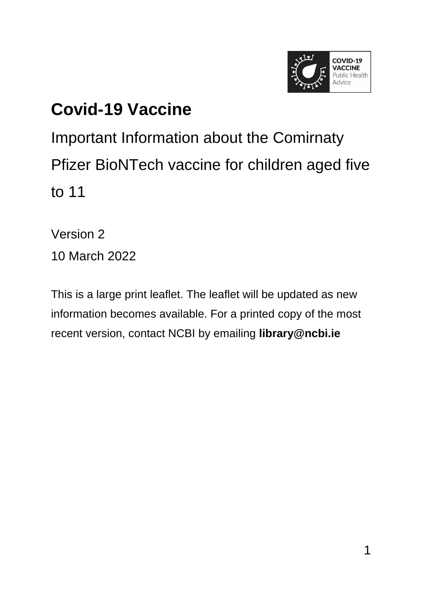

### **Covid-19 Vaccine**

Important Information about the Comirnaty Pfizer BioNTech vaccine for children aged five to 11

Version 2 10 March 2022

This is a large print leaflet. The leaflet will be updated as new information becomes available. For a printed copy of the most recent version, contact NCBI by emailing **[library@ncbi.ie](mailto:library@ncbi.ie)**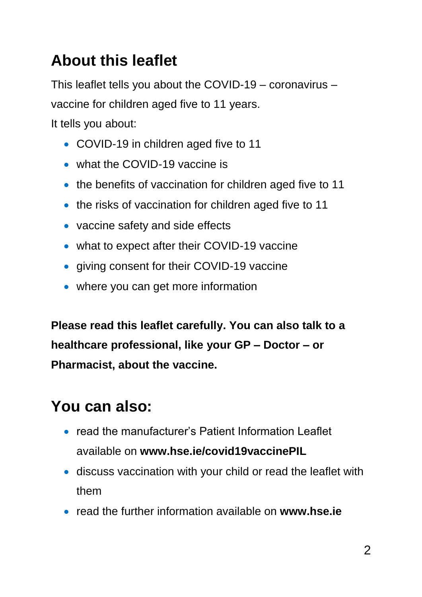### **About this leaflet**

This leaflet tells you about the COVID-19 – coronavirus – vaccine for children aged five to 11 years.

It tells you about:

- COVID-19 in children aged five to 11
- what the COVID-19 vaccine is
- the benefits of vaccination for children aged five to 11
- the risks of vaccination for children aged five to 11
- vaccine safety and side effects
- what to expect after their COVID-19 vaccine
- giving consent for their COVID-19 vaccine
- where you can get more information

**Please read this leaflet carefully. You can also talk to a healthcare professional, like your GP – Doctor – or Pharmacist, about the vaccine.**

### **You can also:**

- read the manufacturer's Patient Information Leaflet available on **[www.hse.ie/covid19vaccinePIL](http://www.hse.ie/covid19vaccinePIL)**
- discuss vaccination with your child or read the leaflet with them
- read the further information available on **[www.hse.ie](http://www.hse.ie/)**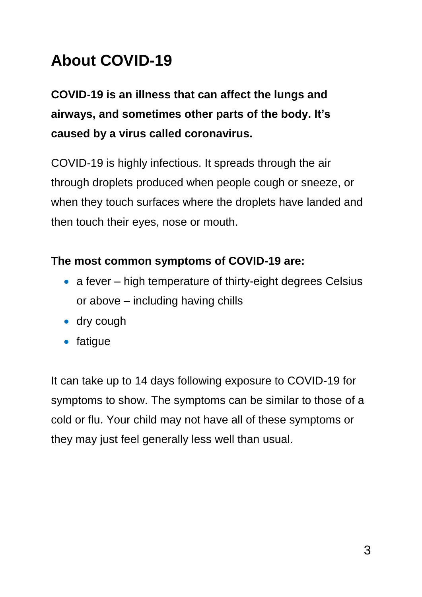### **About COVID-19**

**COVID-19 is an illness that can affect the lungs and airways, and sometimes other parts of the body. It's caused by a virus called coronavirus.**

COVID-19 is highly infectious. It spreads through the air through droplets produced when people cough or sneeze, or when they touch surfaces where the droplets have landed and then touch their eyes, nose or mouth.

#### **The most common symptoms of COVID-19 are:**

- a fever high temperature of thirty-eight degrees Celsius or above – including having chills
- dry cough
- fatigue

It can take up to 14 days following exposure to COVID-19 for symptoms to show. The symptoms can be similar to those of a cold or flu. Your child may not have all of these symptoms or they may just feel generally less well than usual.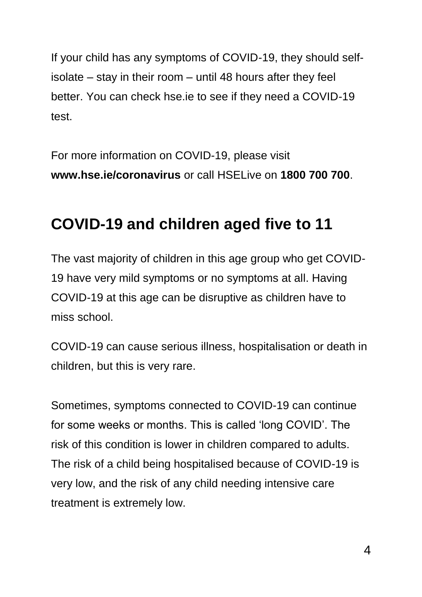If your child has any symptoms of COVID-19, they should selfisolate – stay in their room – until 48 hours after they feel better. You can check hse.ie to see if they need a COVID-19 test.

For more information on COVID-19, please visit **[www.hse.ie/coronavirus](http://www.hse.ie/coronavirus)** or call HSELive on **1800 700 700**.

#### **COVID-19 and children aged five to 11**

The vast majority of children in this age group who get COVID-19 have very mild symptoms or no symptoms at all. Having COVID-19 at this age can be disruptive as children have to miss school.

COVID-19 can cause serious illness, hospitalisation or death in children, but this is very rare.

Sometimes, symptoms connected to COVID-19 can continue for some weeks or months. This is called 'long COVID'. The risk of this condition is lower in children compared to adults. The risk of a child being hospitalised because of COVID-19 is very low, and the risk of any child needing intensive care treatment is extremely low.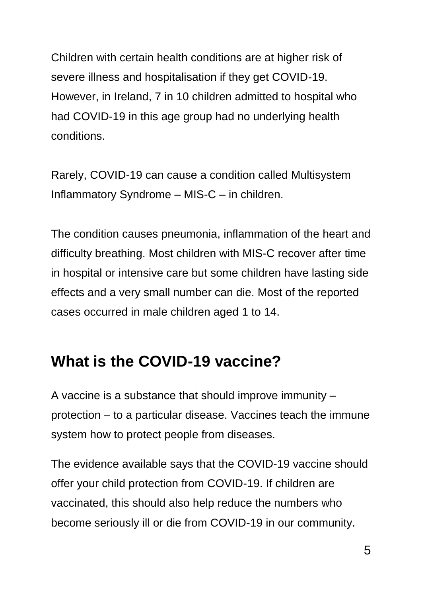Children with certain health conditions are at higher risk of severe illness and hospitalisation if they get COVID-19. However, in Ireland, 7 in 10 children admitted to hospital who had COVID-19 in this age group had no underlying health conditions.

Rarely, COVID-19 can cause a condition called Multisystem Inflammatory Syndrome – MIS-C – in children.

The condition causes pneumonia, inflammation of the heart and difficulty breathing. Most children with MIS-C recover after time in hospital or intensive care but some children have lasting side effects and a very small number can die. Most of the reported cases occurred in male children aged 1 to 14.

#### **What is the COVID-19 vaccine?**

A vaccine is a substance that should improve immunity – protection – to a particular disease. Vaccines teach the immune system how to protect people from diseases.

The evidence available says that the COVID-19 vaccine should offer your child protection from COVID-19. If children are vaccinated, this should also help reduce the numbers who become seriously ill or die from COVID-19 in our community.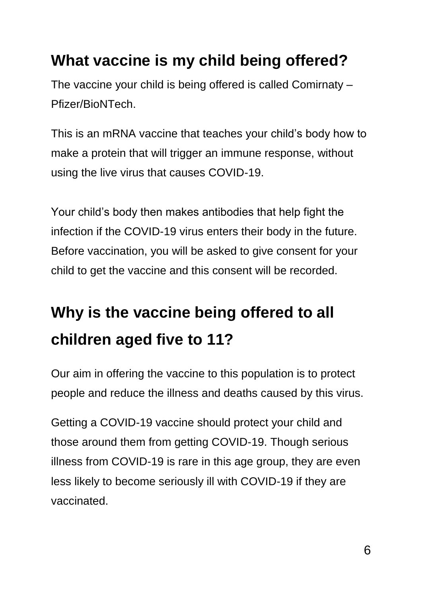#### **What vaccine is my child being offered?**

The vaccine your child is being offered is called Comirnaty – Pfizer/BioNTech.

This is an mRNA vaccine that teaches your child's body how to make a protein that will trigger an immune response, without using the live virus that causes COVID-19.

Your child's body then makes antibodies that help fight the infection if the COVID-19 virus enters their body in the future. Before vaccination, you will be asked to give consent for your child to get the vaccine and this consent will be recorded.

# **Why is the vaccine being offered to all children aged five to 11?**

Our aim in offering the vaccine to this population is to protect people and reduce the illness and deaths caused by this virus.

Getting a COVID-19 vaccine should protect your child and those around them from getting COVID-19. Though serious illness from COVID-19 is rare in this age group, they are even less likely to become seriously ill with COVID-19 if they are vaccinated.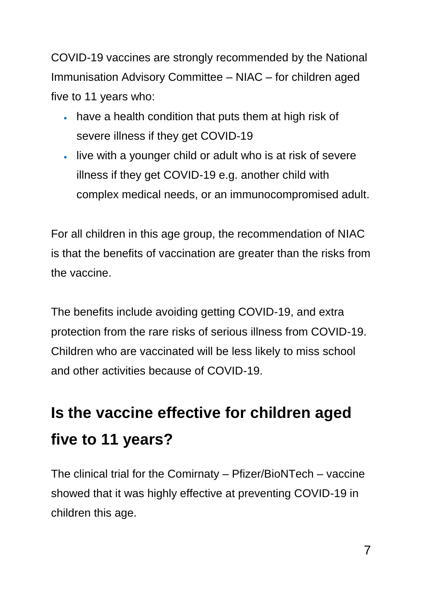COVID-19 vaccines are strongly recommended by the National Immunisation Advisory Committee – NIAC – for children aged five to 11 years who:

- have a health condition that puts them at high risk of severe illness if they get COVID-19
- live with a younger child or adult who is at risk of severe illness if they get COVID-19 e.g. another child with complex medical needs, or an immunocompromised adult.

For all children in this age group, the recommendation of NIAC is that the benefits of vaccination are greater than the risks from the vaccine.

The benefits include avoiding getting COVID-19, and extra protection from the rare risks of serious illness from COVID-19. Children who are vaccinated will be less likely to miss school and other activities because of COVID-19.

# **Is the vaccine effective for children aged five to 11 years?**

The clinical trial for the Comirnaty – Pfizer/BioNTech – vaccine showed that it was highly effective at preventing COVID-19 in children this age.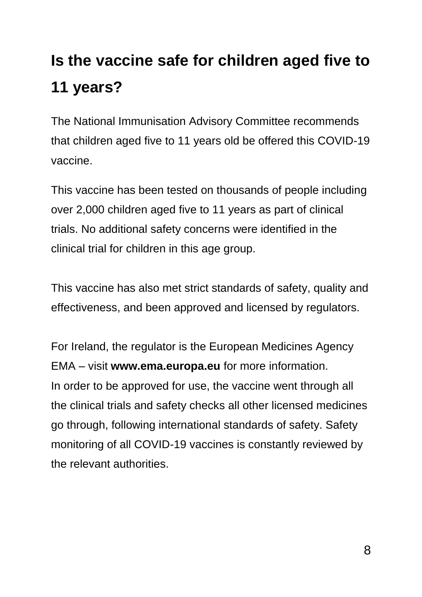# **Is the vaccine safe for children aged five to 11 years?**

The National Immunisation Advisory Committee recommends that children aged five to 11 years old be offered this COVID-19 vaccine.

This vaccine has been tested on thousands of people including over 2,000 children aged five to 11 years as part of clinical trials. No additional safety concerns were identified in the clinical trial for children in this age group.

This vaccine has also met strict standards of safety, quality and effectiveness, and been approved and licensed by regulators.

For Ireland, the regulator is the European Medicines Agency EMA – visit **www.ema.europa.eu** for more information. In order to be approved for use, the vaccine went through all the clinical trials and safety checks all other licensed medicines go through, following international standards of safety. Safety monitoring of all COVID-19 vaccines is constantly reviewed by the relevant authorities.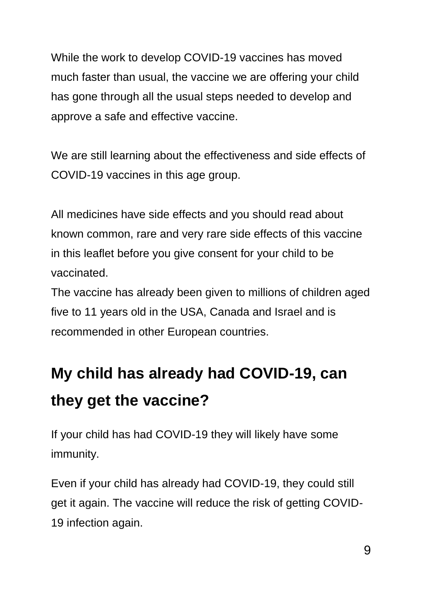While the work to develop COVID-19 vaccines has moved much faster than usual, the vaccine we are offering your child has gone through all the usual steps needed to develop and approve a safe and effective vaccine.

We are still learning about the effectiveness and side effects of COVID-19 vaccines in this age group.

All medicines have side effects and you should read about known common, rare and very rare side effects of this vaccine in this leaflet before you give consent for your child to be vaccinated.

The vaccine has already been given to millions of children aged five to 11 years old in the USA, Canada and Israel and is recommended in other European countries.

# **My child has already had COVID-19, can they get the vaccine?**

If your child has had COVID-19 they will likely have some immunity.

Even if your child has already had COVID-19, they could still get it again. The vaccine will reduce the risk of getting COVID-19 infection again.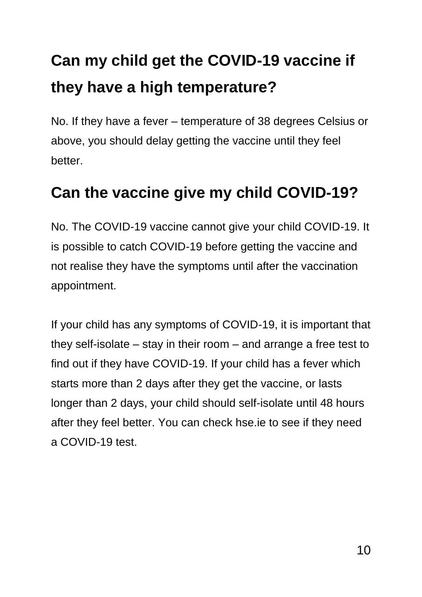# **Can my child get the COVID-19 vaccine if they have a high temperature?**

No. If they have a fever – temperature of 38 degrees Celsius or above, you should delay getting the vaccine until they feel better.

#### **Can the vaccine give my child COVID-19?**

No. The COVID-19 vaccine cannot give your child COVID-19. It is possible to catch COVID-19 before getting the vaccine and not realise they have the symptoms until after the vaccination appointment.

If your child has any symptoms of COVID-19, it is important that they self-isolate – stay in their room – and arrange a free test to find out if they have COVID-19. If your child has a fever which starts more than 2 days after they get the vaccine, or lasts longer than 2 days, your child should self-isolate until 48 hours after they feel better. You can check hse.ie to see if they need a COVID-19 test.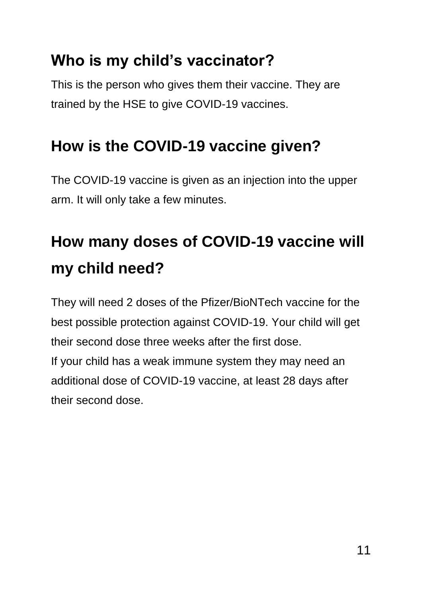### **Who is my child's vaccinator?**

This is the person who gives them their vaccine. They are trained by the HSE to give COVID-19 vaccines.

### **How is the COVID-19 vaccine given?**

The COVID-19 vaccine is given as an injection into the upper arm. It will only take a few minutes.

# **How many doses of COVID-19 vaccine will my child need?**

They will need 2 doses of the Pfizer/BioNTech vaccine for the best possible protection against COVID-19. Your child will get their second dose three weeks after the first dose.

If your child has a weak immune system they may need an additional dose of COVID-19 vaccine, at least 28 days after their second dose.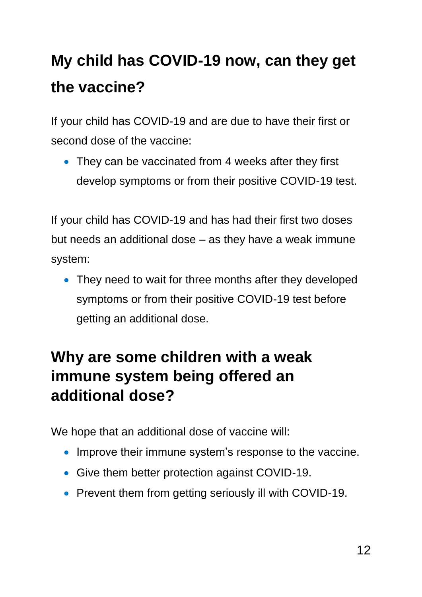# **My child has COVID-19 now, can they get the vaccine?**

If your child has COVID-19 and are due to have their first or second dose of the vaccine:

• They can be vaccinated from 4 weeks after they first develop symptoms or from their positive COVID-19 test.

If your child has COVID-19 and has had their first two doses but needs an additional dose – as they have a weak immune system:

• They need to wait for three months after they developed symptoms or from their positive COVID-19 test before getting an additional dose.

### **Why are some children with a weak immune system being offered an additional dose?**

We hope that an additional dose of vaccine will:

- Improve their immune system's response to the vaccine.
- Give them better protection against COVID-19.
- Prevent them from getting seriously ill with COVID-19.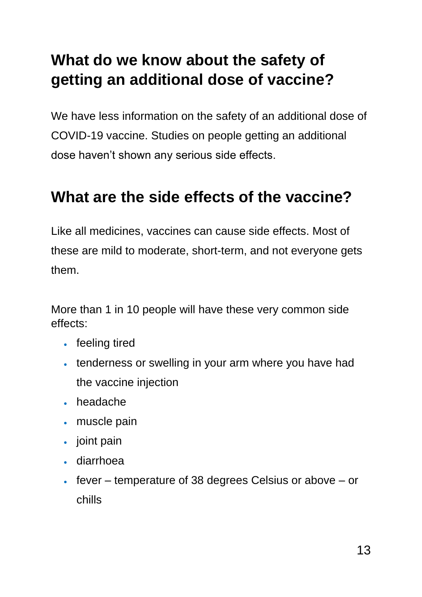### **What do we know about the safety of getting an additional dose of vaccine?**

We have less information on the safety of an additional dose of COVID-19 vaccine. Studies on people getting an additional dose haven't shown any serious side effects.

#### **What are the side effects of the vaccine?**

Like all medicines, vaccines can cause side effects. Most of these are mild to moderate, short-term, and not everyone gets them.

More than 1 in 10 people will have these very common side effects:

- feeling tired
- tenderness or swelling in your arm where you have had the vaccine injection
- headache
- muscle pain
- joint pain
- diarrhoea
- $\cdot$  fever temperature of 38 degrees Celsius or above or chills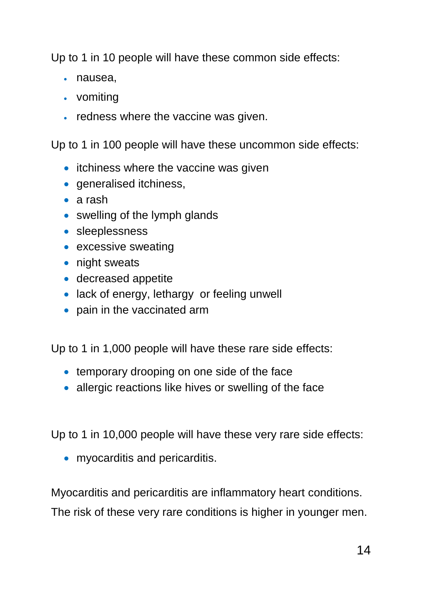Up to 1 in 10 people will have these common side effects:

- nausea,
- vomiting
- redness where the vaccine was given.

Up to 1 in 100 people will have these uncommon side effects:

- itchiness where the vaccine was given
- **•** generalised itchiness,
- a rash
- swelling of the lymph glands
- **·** sleeplessness
- excessive sweating
- night sweats
- decreased appetite
- lack of energy, lethargy or feeling unwell
- pain in the vaccinated arm

Up to 1 in 1,000 people will have these rare side effects:

- temporary drooping on one side of the face
- allergic reactions like hives or swelling of the face

Up to 1 in 10,000 people will have these very rare side effects:

• myocarditis and pericarditis.

Myocarditis and pericarditis are inflammatory heart conditions. The risk of these very rare conditions is higher in younger men.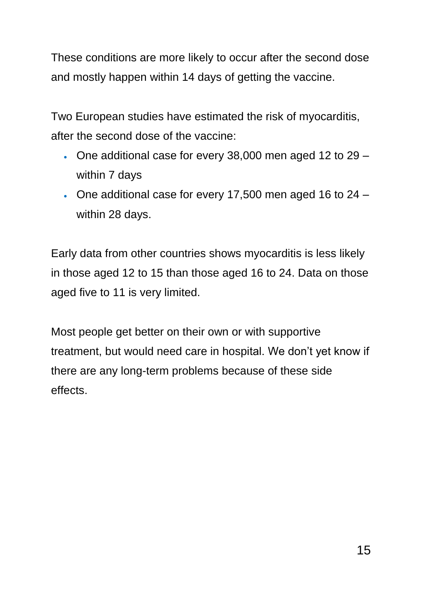These conditions are more likely to occur after the second dose and mostly happen within 14 days of getting the vaccine.

Two European studies have estimated the risk of myocarditis, after the second dose of the vaccine:

- $\cdot$  One additional case for every 38,000 men aged 12 to 29 within 7 days
- One additional case for every 17,500 men aged 16 to 24 within 28 days.

Early data from other countries shows myocarditis is less likely in those aged 12 to 15 than those aged 16 to 24. Data on those aged five to 11 is very limited.

Most people get better on their own or with supportive treatment, but would need care in hospital. We don't yet know if there are any long-term problems because of these side effects.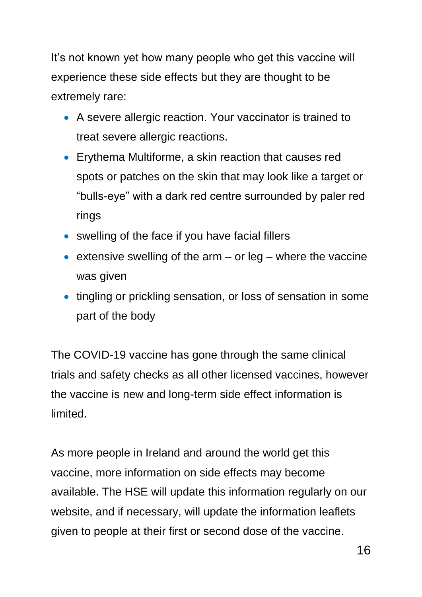It's not known yet how many people who get this vaccine will experience these side effects but they are thought to be extremely rare:

- A severe allergic reaction. Your vaccinator is trained to treat severe allergic reactions.
- Erythema Multiforme, a skin reaction that causes red spots or patches on the skin that may look like a target or "bulls-eye" with a dark red centre surrounded by paler red rings
- swelling of the face if you have facial fillers
- extensive swelling of the arm or leg where the vaccine was given
- tingling or prickling sensation, or loss of sensation in some part of the body

The COVID-19 vaccine has gone through the same clinical trials and safety checks as all other licensed vaccines, however the vaccine is new and long-term side effect information is limited.

As more people in Ireland and around the world get this vaccine, more information on side effects may become available. The HSE will update this information regularly on our website, and if necessary, will update the information leaflets given to people at their first or second dose of the vaccine.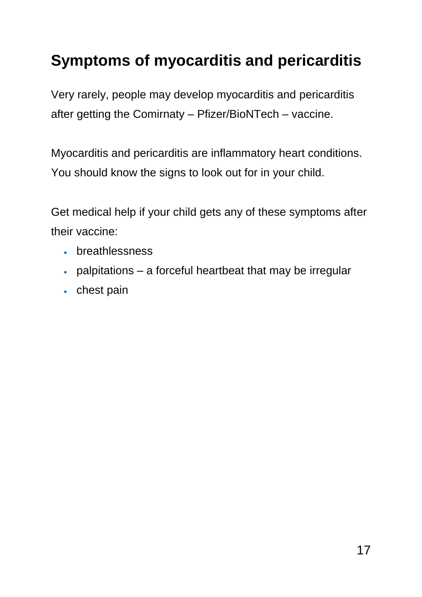### **Symptoms of myocarditis and pericarditis**

Very rarely, people may develop myocarditis and pericarditis after getting the Comirnaty – Pfizer/BioNTech – vaccine.

Myocarditis and pericarditis are inflammatory heart conditions. You should know the signs to look out for in your child.

Get medical help if your child gets any of these symptoms after their vaccine:

- breathlessness
- palpitations a forceful heartbeat that may be irregular
- chest pain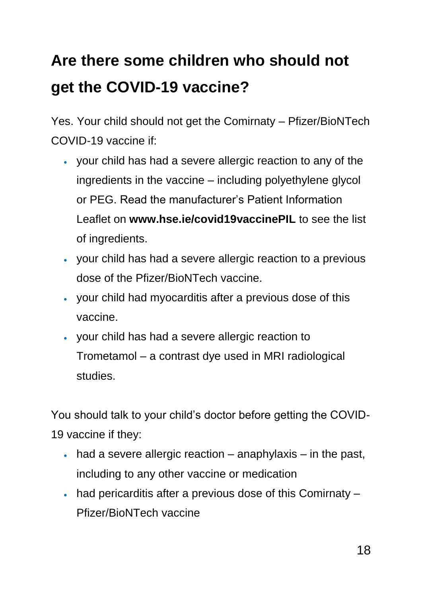# **Are there some children who should not get the COVID-19 vaccine?**

Yes. Your child should not get the Comirnaty – Pfizer/BioNTech COVID-19 vaccine if:

- your child has had a severe allergic reaction to any of the ingredients in the vaccine – including polyethylene glycol or PEG. Read the manufacturer's Patient Information Leaflet on **www.hse.ie/covid19vaccinePIL** to see the list of ingredients.
- your child has had a severe allergic reaction to a previous dose of the Pfizer/BioNTech vaccine.
- your child had myocarditis after a previous dose of this vaccine.
- your child has had a severe allergic reaction to Trometamol – a contrast dye used in MRI radiological studies.

You should talk to your child's doctor before getting the COVID-19 vaccine if they:

- $\bullet$  had a severe allergic reaction anaphylaxis in the past, including to any other vaccine or medication
- had pericarditis after a previous dose of this Comirnaty Pfizer/BioNTech vaccine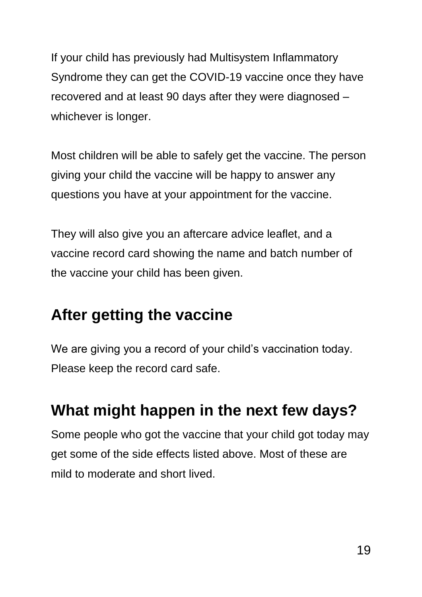If your child has previously had Multisystem Inflammatory Syndrome they can get the COVID-19 vaccine once they have recovered and at least 90 days after they were diagnosed – whichever is longer.

Most children will be able to safely get the vaccine. The person giving your child the vaccine will be happy to answer any questions you have at your appointment for the vaccine.

They will also give you an aftercare advice leaflet, and a vaccine record card showing the name and batch number of the vaccine your child has been given.

### **After getting the vaccine**

We are giving you a record of your child's vaccination today. Please keep the record card safe.

### **What might happen in the next few days?**

Some people who got the vaccine that your child got today may get some of the side effects listed above. Most of these are mild to moderate and short lived.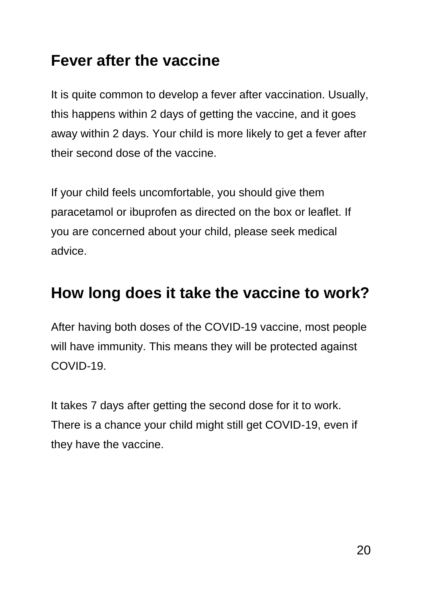#### **Fever after the vaccine**

It is quite common to develop a fever after vaccination. Usually, this happens within 2 days of getting the vaccine, and it goes away within 2 days. Your child is more likely to get a fever after their second dose of the vaccine.

If your child feels uncomfortable, you should give them paracetamol or ibuprofen as directed on the box or leaflet. If you are concerned about your child, please seek medical advice.

#### **How long does it take the vaccine to work?**

After having both doses of the COVID-19 vaccine, most people will have immunity. This means they will be protected against COVID-19.

It takes 7 days after getting the second dose for it to work. There is a chance your child might still get COVID-19, even if they have the vaccine.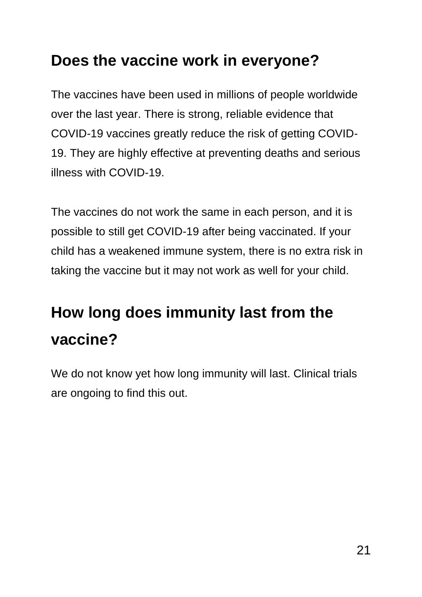#### **Does the vaccine work in everyone?**

The vaccines have been used in millions of people worldwide over the last year. There is strong, reliable evidence that COVID-19 vaccines greatly reduce the risk of getting COVID-19. They are highly effective at preventing deaths and serious illness with COVID-19.

The vaccines do not work the same in each person, and it is possible to still get COVID-19 after being vaccinated. If your child has a weakened immune system, there is no extra risk in taking the vaccine but it may not work as well for your child.

### **How long does immunity last from the vaccine?**

We do not know yet how long immunity will last. Clinical trials are ongoing to find this out.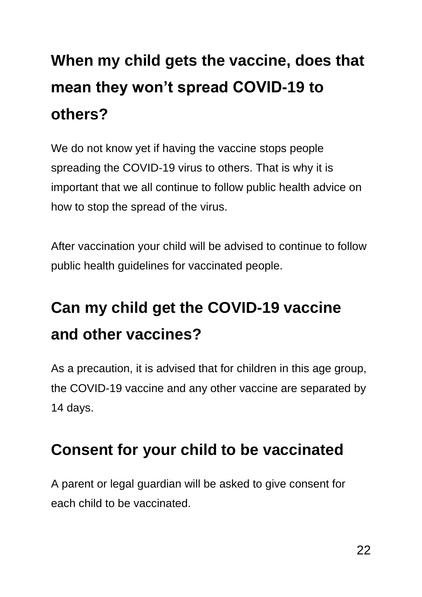# **When my child gets the vaccine, does that mean they won't spread COVID-19 to others?**

We do not know yet if having the vaccine stops people spreading the COVID-19 virus to others. That is why it is important that we all continue to follow public health advice on how to stop the spread of the virus.

After vaccination your child will be advised to continue to follow public health guidelines for vaccinated people.

# **Can my child get the COVID-19 vaccine and other vaccines?**

As a precaution, it is advised that for children in this age group, the COVID-19 vaccine and any other vaccine are separated by 14 days.

### **Consent for your child to be vaccinated**

A parent or legal guardian will be asked to give consent for each child to be vaccinated.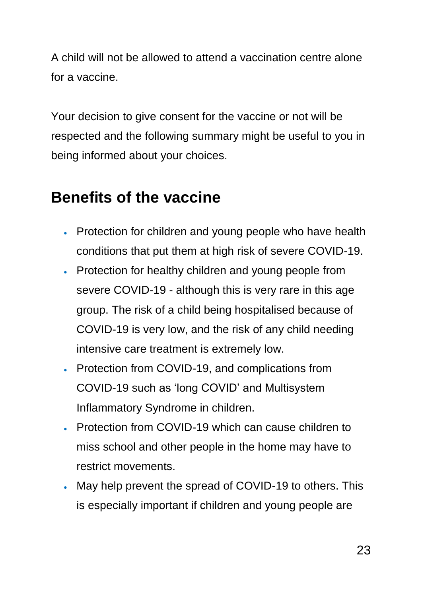A child will not be allowed to attend a vaccination centre alone for a vaccine.

Your decision to give consent for the vaccine or not will be respected and the following summary might be useful to you in being informed about your choices.

### **Benefits of the vaccine**

- Protection for children and young people who have health conditions that put them at high risk of severe COVID-19.
- Protection for healthy children and young people from severe COVID-19 - although this is very rare in this age group. The risk of a child being hospitalised because of COVID-19 is very low, and the risk of any child needing intensive care treatment is extremely low.
- Protection from COVID-19, and complications from COVID-19 such as 'long COVID' and Multisystem Inflammatory Syndrome in children.
- Protection from COVID-19 which can cause children to miss school and other people in the home may have to restrict movements.
- May help prevent the spread of COVID-19 to others. This is especially important if children and young people are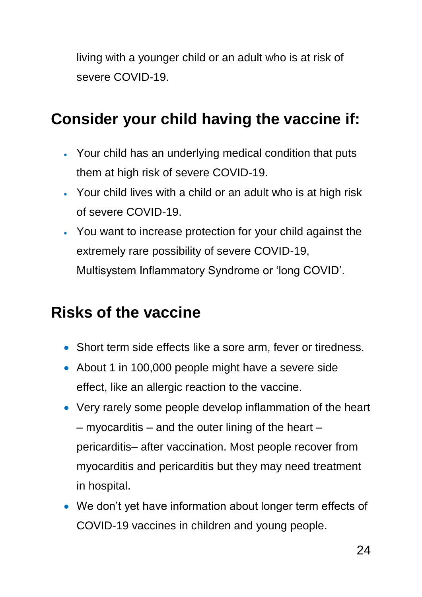living with a younger child or an adult who is at risk of severe COVID-19.

#### **Consider your child having the vaccine if:**

- Your child has an underlying medical condition that puts them at high risk of severe COVID-19.
- Your child lives with a child or an adult who is at high risk of severe COVID-19.
- You want to increase protection for your child against the extremely rare possibility of severe COVID-19, Multisystem Inflammatory Syndrome or 'long COVID'.

#### **Risks of the vaccine**

- Short term side effects like a sore arm, fever or tiredness.
- About 1 in 100,000 people might have a severe side effect, like an allergic reaction to the vaccine.
- Very rarely some people develop inflammation of the heart  $-$  myocarditis  $-$  and the outer lining of the heart  $$ pericarditis– after vaccination. Most people recover from myocarditis and pericarditis but they may need treatment in hospital.
- We don't yet have information about longer term effects of COVID-19 vaccines in children and young people.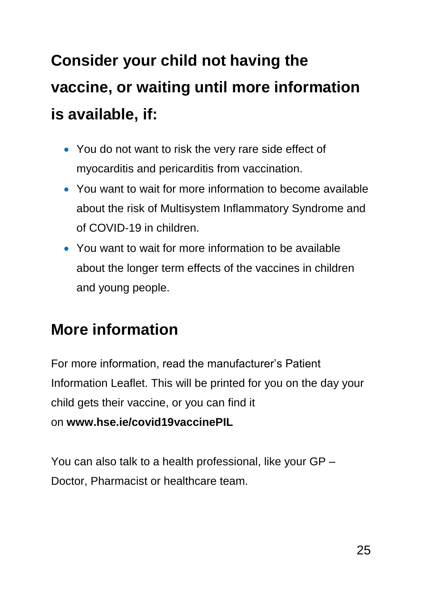**Consider your child not having the vaccine, or waiting until more information is available, if:**

- You do not want to risk the very rare side effect of myocarditis and pericarditis from vaccination.
- You want to wait for more information to become available about the risk of Multisystem Inflammatory Syndrome and of COVID-19 in children.
- You want to wait for more information to be available about the longer term effects of the vaccines in children and young people.

#### **More information**

For more information, read the manufacturer's Patient Information Leaflet. This will be printed for you on the day your child gets their vaccine, or you can find it on **www.hse.ie/covid19vaccinePIL**

You can also talk to a health professional, like your GP – Doctor, Pharmacist or healthcare team.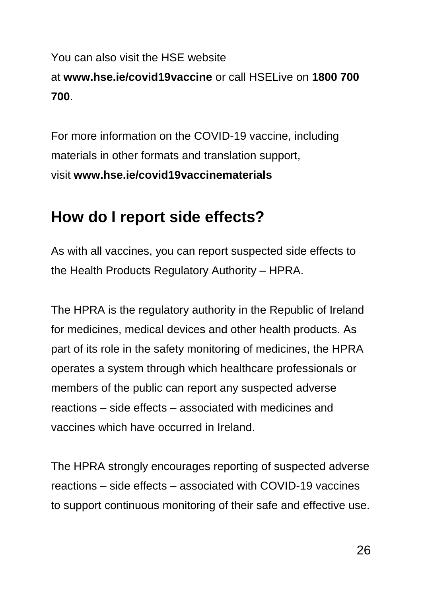#### You can also visit the HSE website at **www.hse.ie/covid19vaccine** or call HSELive on **1800 700 700**.

For more information on the COVID-19 vaccine, including materials in other formats and translation support, visit **www.hse.ie/covid19vaccinematerials**

#### **How do I report side effects?**

As with all vaccines, you can report suspected side effects to the Health Products Regulatory Authority – HPRA.

The HPRA is the regulatory authority in the Republic of Ireland for medicines, medical devices and other health products. As part of its role in the safety monitoring of medicines, the HPRA operates a system through which healthcare professionals or members of the public can report any suspected adverse reactions – side effects – associated with medicines and vaccines which have occurred in Ireland.

The HPRA strongly encourages reporting of suspected adverse reactions – side effects – associated with COVID-19 vaccines to support continuous monitoring of their safe and effective use.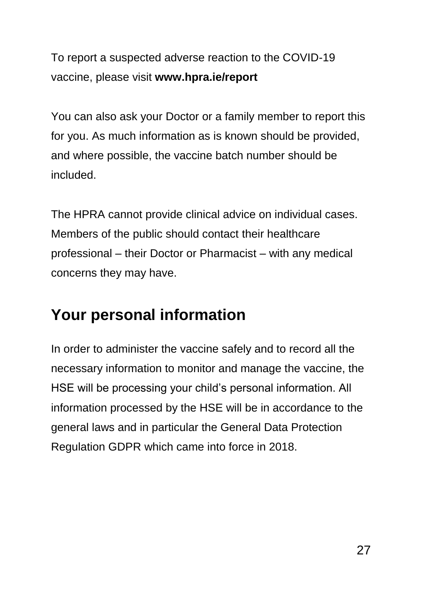To report a suspected adverse reaction to the COVID-19 vaccine, please visit **www.hpra.ie/report**

You can also ask your Doctor or a family member to report this for you. As much information as is known should be provided, and where possible, the vaccine batch number should be included.

The HPRA cannot provide clinical advice on individual cases. Members of the public should contact their healthcare professional – their Doctor or Pharmacist – with any medical concerns they may have.

### **Your personal information**

In order to administer the vaccine safely and to record all the necessary information to monitor and manage the vaccine, the HSE will be processing your child's personal information. All information processed by the HSE will be in accordance to the general laws and in particular the General Data Protection Regulation GDPR which came into force in 2018.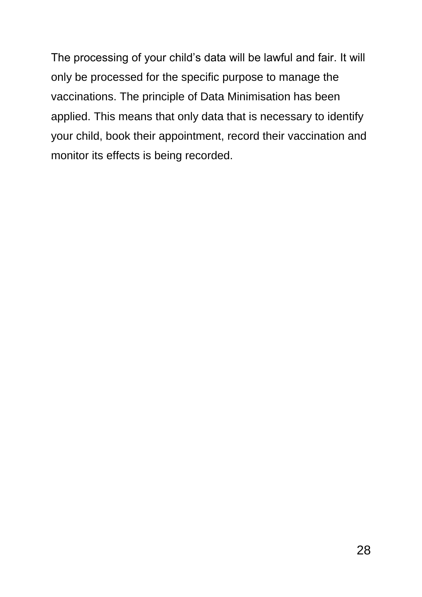The processing of your child's data will be lawful and fair. It will only be processed for the specific purpose to manage the vaccinations. The principle of Data Minimisation has been applied. This means that only data that is necessary to identify your child, book their appointment, record their vaccination and monitor its effects is being recorded.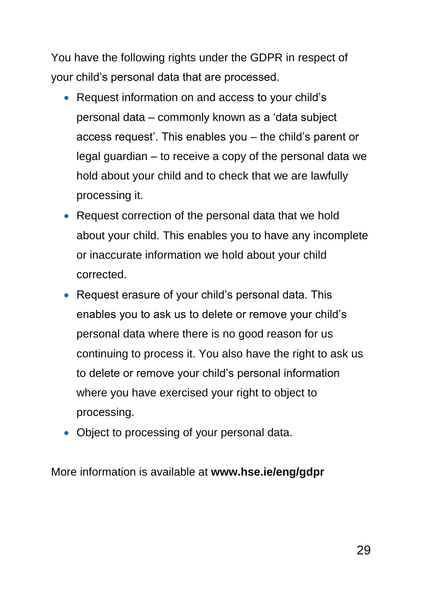You have the following rights under the GDPR in respect of your child's personal data that are processed.

- Request information on and access to your child's personal data – commonly known as a 'data subject access request'. This enables you – the child's parent or legal guardian – to receive a copy of the personal data we hold about your child and to check that we are lawfully processing it.
- Request correction of the personal data that we hold about your child. This enables you to have any incomplete or inaccurate information we hold about your child corrected.
- Request erasure of your child's personal data. This enables you to ask us to delete or remove your child's personal data where there is no good reason for us continuing to process it. You also have the right to ask us to delete or remove your child's personal information where you have exercised your right to object to processing.
- Object to processing of your personal data.

More information is available at **www.hse.ie/eng/gdpr**